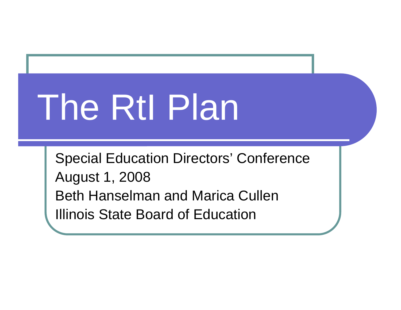# The RtI Plan

Special Education Directors' Conference August 1, 2008 Beth Hanselman and Marica CullenIllinois State Board of Education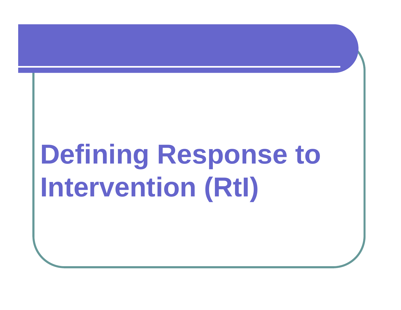# **Defining Response to Intervention (RtI)**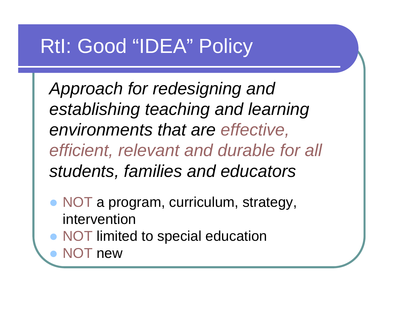# RtI: Good "IDEA" Policy

*Approach for redesigning and establishing teaching and learning environments that are effective, efficient, relevant and durable for all students, families and educators*

- NOT a program, curriculum, strategy, intervention
- NOT limited to special education

• NOT new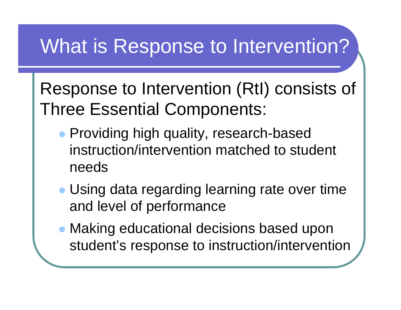# What is Response to Intervention?

Response to Intervention (RtI) consists of Three Essential Components:

- Providing high quality, research-based instruction/intervention matched to student needs
- Using data regarding learning rate over time and level of performance
- Making educational decisions based upon student's response to instruction/intervention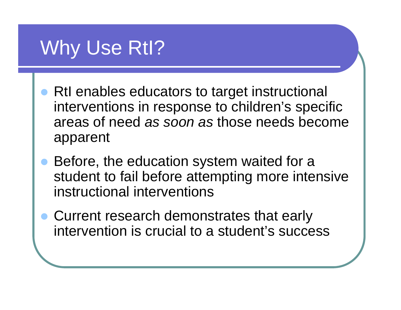# Why Use RtI?

- RtI enables educators to target instructional interventions in response to children's specific areas of need *as soon as* those needs become apparent
- $\bullet$  Before, the education system waited for a student to fail before attempting more intensive instructional interventions
- Current research demonstrates that early intervention is crucial to a student's success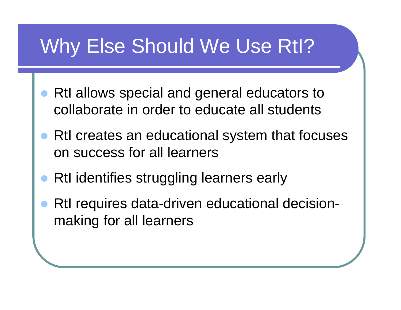# Why Else Should We Use RtI?

- $\bullet$  RtI allows special and general educators to collaborate in order to educate all students
- RtI creates an educational system that focuses on success for all learners
- $\bullet$ RtI identifies struggling learners early
- $\bullet$  RtI requires data-driven educational decisionmaking for all learners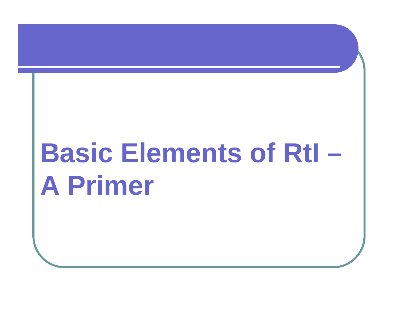# **Basic Elements of RtI – A Primer**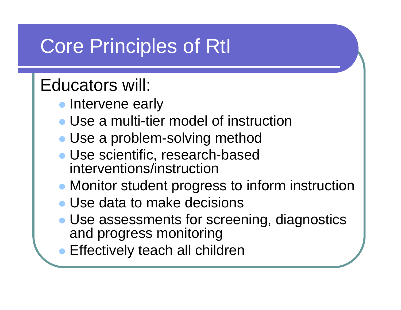# Core Principles of RtI

#### Educators will:

- Intervene early
- Use a multi-tier model of instruction
- Use a problem-solving method
- Use scientific, research-based interventions/instruction
- Monitor student progress to inform instruction
- Use data to make decisions
- Use assessments for screening, diagnostics and progress monitoring
- Effectively teach all children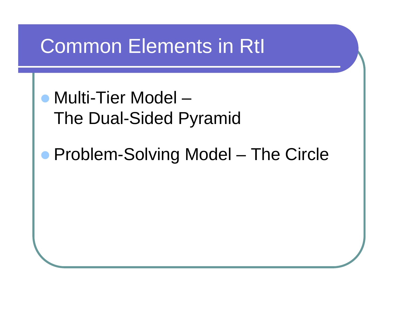# Common Elements in RtI

- Multi-Tier Model The Dual-Sided Pyramid
- **Problem-Solving Model The Circle**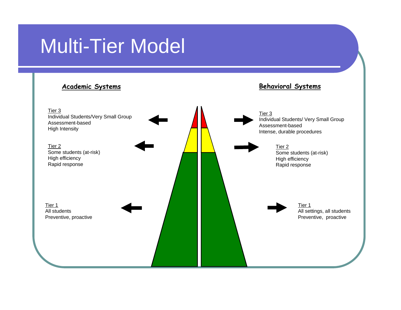# Multi-Tier Model

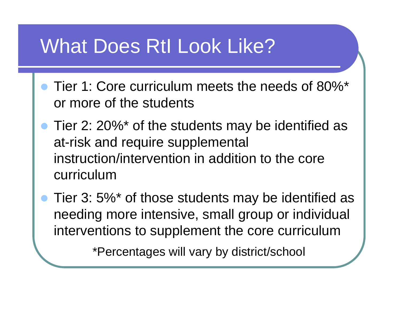# What Does RtI Look Like?

- Tier 1: Core curriculum meets the needs of 80%\* or more of the students
- Tier 2: 20%\* of the students may be identified as at-risk and require supplemental instruction/intervention in addition to the core curriculum

• Tier 3: 5%\* of those students may be identified as needing more intensive, small group or individual interventions to supplement the core curriculum

\*Percentages will vary by district/school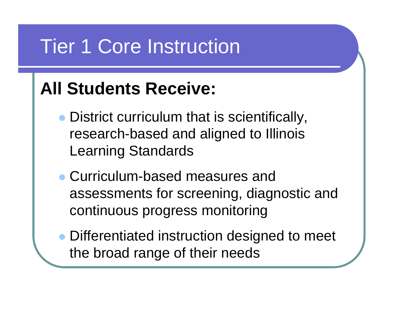# Tier 1 Core Instruction

### **All Students Receive:**

- District curriculum that is scientifically, research-based and aligned to Illinois Learning Standards
- Curriculum-based measures and assessments for screening, diagnostic and continuous progress monitoring
- Differentiated instruction designed to meet the broad range of their needs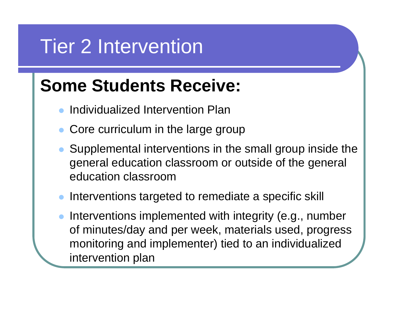# Tier 2 Intervention

#### **Some Students Receive:**

- $\bullet$ Individualized Intervention Plan
- $\bullet$ Core curriculum in the large group
- Supplemental interventions in the small group inside the general education classroom or outside of the general education classroom
- Interventions targeted to remediate a specific skill
- $\bullet$  Interventions implemented with integrity (e.g., number of minutes/day and per week, materials used, progress monitoring and implementer) tied to an individualized intervention plan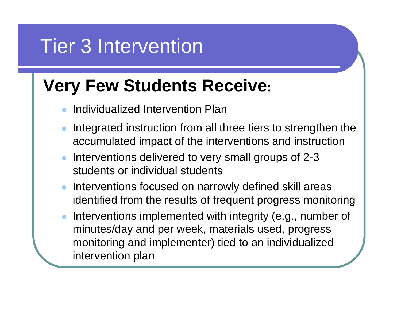# Tier 3 Intervention

#### **Very Few Students Receive :**

- $\bullet$ Individualized Intervention Plan
- $\bullet$  Integrated instruction from all three tiers to strengthen the accumulated impact of the interventions and instruction
- $\bullet$  Interventions delivered to very small groups of 2-3 students or individual students
- Interventions focused on narrowly defined skill areas identified from the results of frequent progress monitoring
- $\bullet$  Interventions implemented with integrity (e.g., number of minutes/day and per week, materials used, progress monitoring and implementer) tied to an individualized intervention plan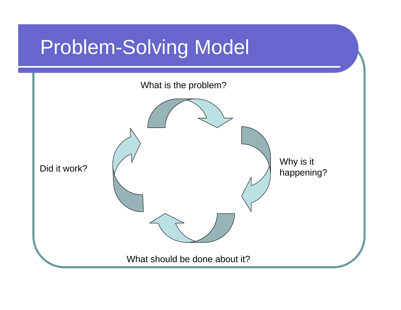# Problem-Solving Model

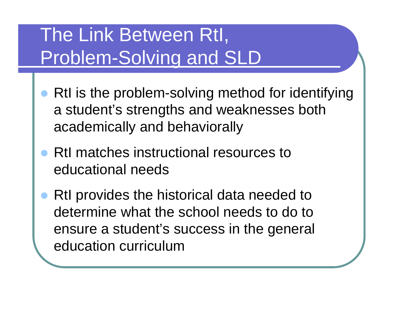# The Link Between RtI, Problem-Solving and SLD

- $\bullet$  RtI is the problem-solving method for identifying a student's strengths and weaknesses both academically and behaviorally
- $\bullet$  RtI matches instructional resources to educational needs
- $\bullet$  RtI provides the historical data needed to determine what the school needs to do to ensure a student's success in the general education curriculum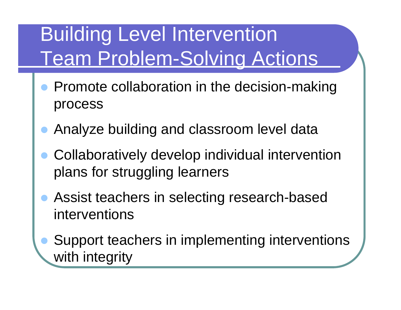# Building Level Intervention Team Problem-Solving Actions

- $\bullet$  Promote collaboration in the decision-making process
- $\bullet$ Analyze building and classroom level data
- $\bullet$  Collaboratively develop individual intervention plans for struggling learners
- $\bullet$  Assist teachers in selecting research-based interventions
- $\bullet$  Support teachers in implementing interventions with integrity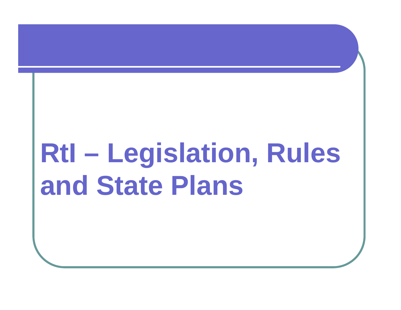# **RtI – Legislation, Rules and State Plans**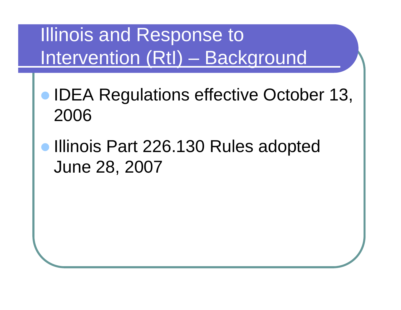# Illinois and Response to Intervention (RtI) – Background

- **IDEA Regulations effective October 13,** 2006
- $\bullet$  Illinois Part 226.130 Rules adopted June 28, 2007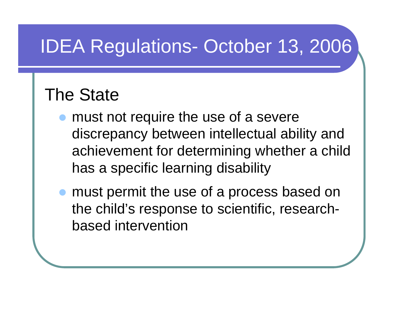# IDEA Regulations- October 13, 2006

### The State

- $\bullet$  must not require the use of a severe discrepancy between intellectual ability and achievement for determining whether a child has a specific learning disability
- must permit the use of a process based on the child's response to scientific, researchbased intervention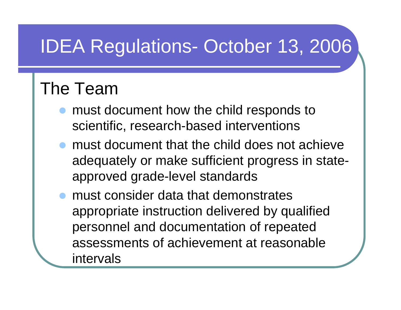# IDEA Regulations- October 13, 2006

#### The Team

- $\bullet$  must document how the child responds to scientific, research-based interventions
- $\bullet$  must document that the child does not achieve adequately or make sufficient progress in stateapproved grade-level standards
- $\bullet$  must consider data that demonstrates appropriate instruction delivered by qualified personnel and documentation of repeated assessments of achievement at reasonable intervals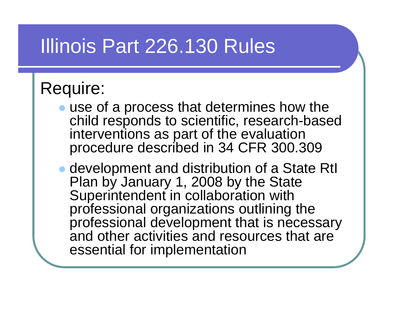# Illinois Part 226.130 Rules

#### Require:

- $\bullet$  use of a process that determines how the child responds to scientific, research-based interventions as part of the evaluation procedure described in 34 CFR 300.309
- development and distribution of a State RtI Plan by January 1, 2008 by the State Superintendent in collaboration with professional organizations outlining the professional development that is necessary and other activities and resources that are essential for implementation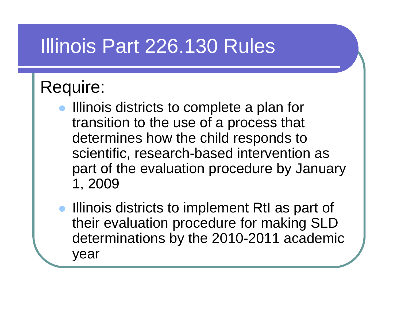# Illinois Part 226.130 Rules

### Require:

- Illinois districts to complete a plan for transition to the use of a process that determines how the child responds to scientific, research-based intervention as part of the evaluation procedure by January 1, 2009
- Illinois districts to implement RtI as part of their evaluation procedure for making SLD determinations by the 2010-2011 academic year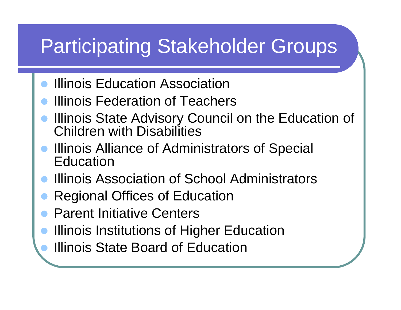# Participating Stakeholder Groups

- $\bullet$ **Illinois Education Association**
- $\bullet$ Illinois Federation of Teachers
- $\bullet$  Illinois State Advisory Council on the Education of Children with Disabilities
- $\bullet$  Illinois Alliance of Administrators of Special Education
- $\bullet$ Illinois Association of School Administrators
- $\bullet$ Regional Offices of Education
- $\bullet$ Parent Initiative Centers
- $\bullet$ Illinois Institutions of Higher Education
- $\bullet$ Illinois State Board of Education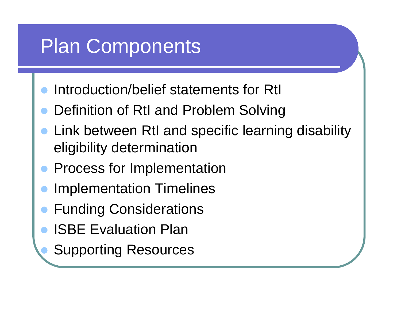# Plan Components

- $\bullet$ Introduction/belief statements for RtI
- $\bullet$ Definition of RtI and Problem Solving
- $\bullet$  Link between RtI and specific learning disability eligibility determination
- $\bullet$ Process for Implementation
- $\bullet$ Implementation Timelines
- $\bullet$ Funding Considerations
- $\bullet$ ISBE Evaluation Plan

 $\bullet$ 

Supporting Resources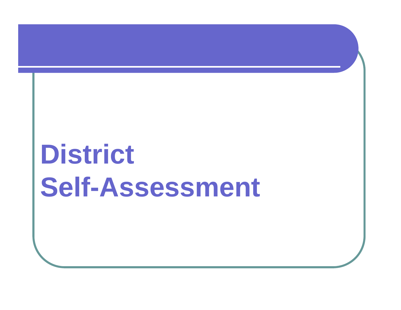# **District Self-Assessment**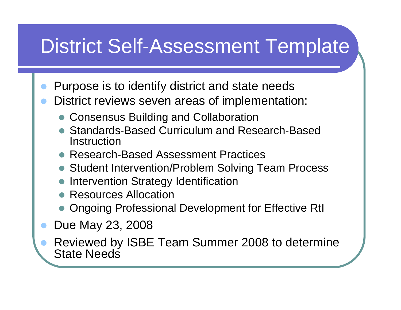# District Self-Assessment Template

- $\bullet$ Purpose is to identify district and state needs
- $\bullet$  District reviews seven areas of implementation:
	- Consensus Building and Collaboration
	- Standards-Based Curriculum and Research-Based Instruction
	- Research-Based Assessment Practices
	- Student Intervention/Problem Solving Team Process
	- Intervention Strategy Identification
	- Resources Allocation
	- Ongoing Professional Development for Effective RtI
- $\bullet$ Due May 23, 2008

 $\bullet$ 

 Reviewed by ISBE Team Summer 2008 to determine State Needs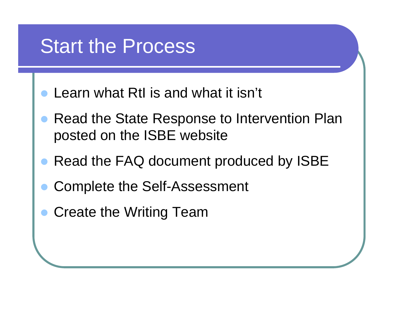# Start the Process

- $\bullet$ Learn what RtI is and what it isn't
- $\bullet$  Read the State Response to Intervention Plan posted on the ISBE website
- Read the FAQ document produced by ISBE
- $\bullet$ Complete the Self-Assessment
- Create the Writing Team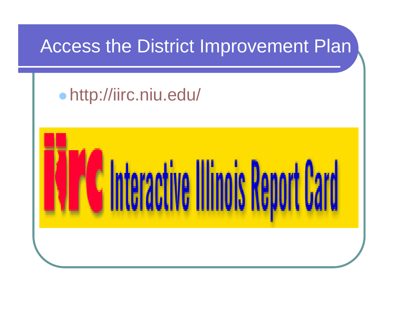### Access the District Improvement Plan

#### $\bullet$ http://iirc.niu.edu/

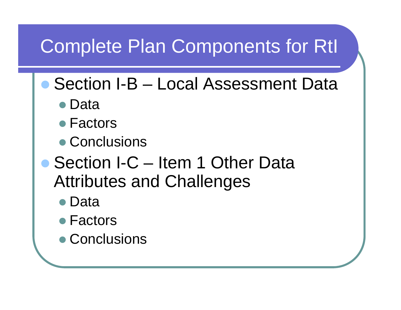# Complete Plan Components for RtI

#### • Section I-B – Local Assessment Data

- Data
- Factors
- Conclusions
- Section I-C Item 1 Other Data Attributes and Challenges
	- Data
	- Factors
	- Conclusions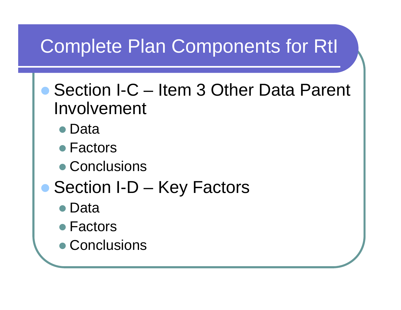# Complete Plan Components for RtI

- Section I-C Item 3 Other Data Parent Involvement
	- Data
	- Factors
	- Conclusions
- Section I-D Key Factors
	- Data
	- Factors
	- Conclusions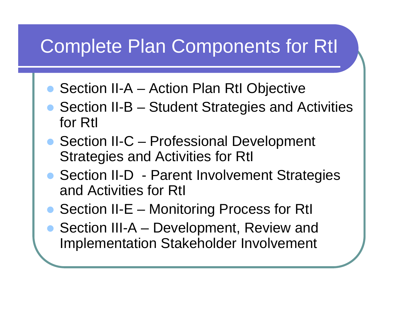# Complete Plan Components for RtI

- Section II-A Action Plan RtI Objective
- $\bullet$  Section II-B – Student Strategies and Activities for RtI
- Section II-C Professional Development Strategies and Activities for RtI
- Section II-D Parent Involvement Strategies and Activities for RtI
- $\bullet$ Section II-E – Monitoring Process for RtI
- $\bullet$  Section III-A – Development, Review and Implementation Stakeholder Involvement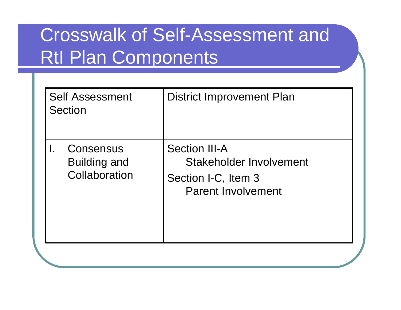| <b>Self Assessment</b><br>Section |                                            | <b>District Improvement Plan</b>                                                                           |
|-----------------------------------|--------------------------------------------|------------------------------------------------------------------------------------------------------------|
|                                   | Consensus<br>Building and<br>Collaboration | <b>Section III-A</b><br><b>Stakeholder Involvement</b><br>Section I-C, Item 3<br><b>Parent Involvement</b> |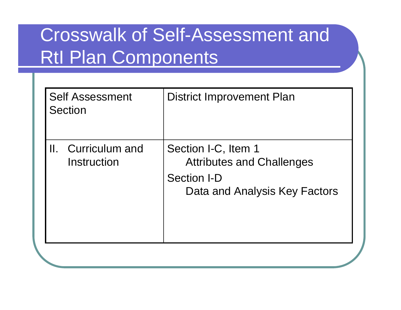| <b>Self Assessment</b><br>Section | <b>District Improvement Plan</b>                                                                               |
|-----------------------------------|----------------------------------------------------------------------------------------------------------------|
| Curriculum and<br>Instruction     | Section I-C, Item 1<br><b>Attributes and Challenges</b><br><b>Section I-D</b><br>Data and Analysis Key Factors |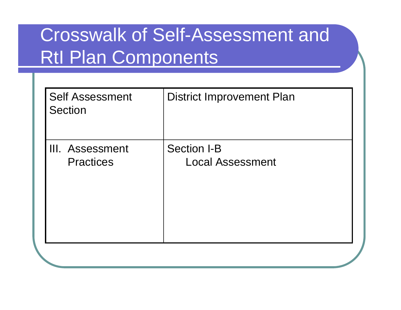| <b>Self Assessment</b><br><b>Section</b> | <b>District Improvement Plan</b> |
|------------------------------------------|----------------------------------|
| III. Assessment                          | <b>Section I-B</b>               |
| <b>Practices</b>                         | <b>Local Assessment</b>          |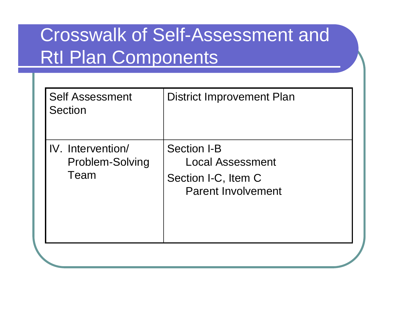| <b>Self Assessment</b><br><b>Section</b>            | <b>District Improvement Plan</b>                                                                  |
|-----------------------------------------------------|---------------------------------------------------------------------------------------------------|
| IV. Intervention/<br><b>Problem-Solving</b><br>Team | <b>Section I-B</b><br><b>Local Assessment</b><br>Section I-C, Item C<br><b>Parent Involvement</b> |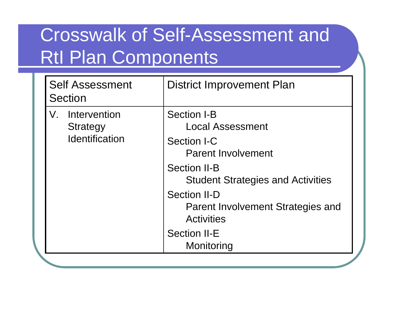| <b>Self Assessment</b><br><b>Section</b> | <b>District Improvement Plan</b>                                                     |
|------------------------------------------|--------------------------------------------------------------------------------------|
| Intervention<br>V.<br>Strategy           | <b>Section I-B</b><br><b>Local Assessment</b>                                        |
| <b>Identification</b>                    | Section I-C<br><b>Parent Involvement</b>                                             |
|                                          | <b>Section II-B</b><br><b>Student Strategies and Activities</b>                      |
|                                          | <b>Section II-D</b><br><b>Parent Involvement Strategies and</b><br><b>Activities</b> |
|                                          | <b>Section II-E</b><br>Monitoring                                                    |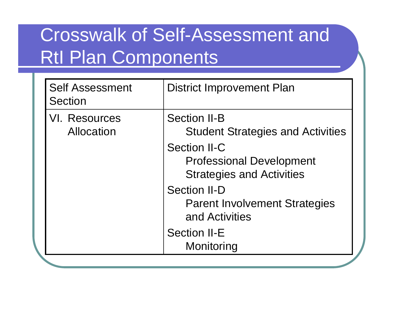| <b>Self Assessment</b><br><b>Section</b> | <b>District Improvement Plan</b>                                                           |
|------------------------------------------|--------------------------------------------------------------------------------------------|
| <b>VI. Resources</b><br>Allocation       | <b>Section II-B</b><br><b>Student Strategies and Activities</b>                            |
|                                          | <b>Section II-C</b><br><b>Professional Development</b><br><b>Strategies and Activities</b> |
|                                          | <b>Section II-D</b><br><b>Parent Involvement Strategies</b><br>and Activities              |
|                                          | <b>Section II-E</b><br>Monitoring                                                          |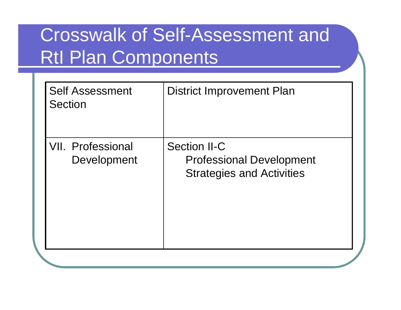| <b>Self Assessment</b><br><b>Section</b> | <b>District Improvement Plan</b>                                                           |
|------------------------------------------|--------------------------------------------------------------------------------------------|
| <b>VII. Professional</b><br>Development  | <b>Section II-C</b><br><b>Professional Development</b><br><b>Strategies and Activities</b> |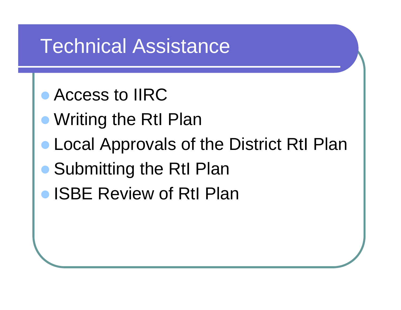# Technical Assistance

#### **• Access to IIRC**

- **Writing the RtI Plan**
- **Local Approvals of the District RtI Plan**
- **Submitting the RtI Plan**
- ISBE Review of RtI Plan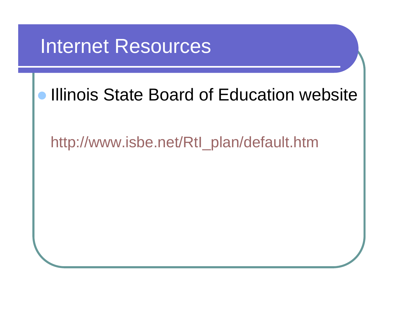### Internet Resources

#### $\bullet$ Illinois State Board of Education website

#### http://www.isbe.net/RtI\_plan/default.htm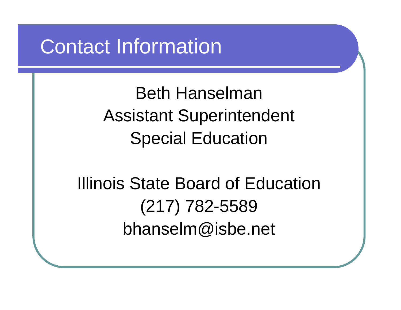# Contact Information

Beth HanselmanAssistant Superintendent Special Education

Illinois State Board of Education (217) 782-5589 bhanselm@isbe.net